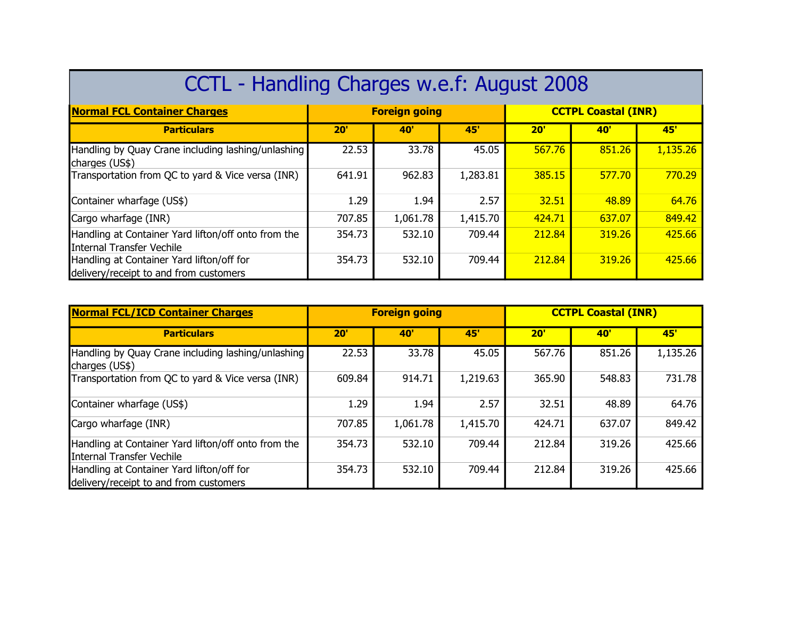| CCTL - Handling Charges w.e.f: August 2008                                          |        |                      |          |        |                            |          |  |  |
|-------------------------------------------------------------------------------------|--------|----------------------|----------|--------|----------------------------|----------|--|--|
| <b>Normal FCL Container Charges</b>                                                 |        | <b>Foreign going</b> |          |        | <b>CCTPL Coastal (INR)</b> |          |  |  |
| <b>Particulars</b>                                                                  | 20'    | <b>40'</b>           | 45'      | 20'    | <b>40</b>                  | 45'      |  |  |
| Handling by Quay Crane including lashing/unlashing<br>charges (US\$)                | 22.53  | 33.78                | 45.05    | 567.76 | 851.26                     | 1,135.26 |  |  |
| Transportation from QC to yard & Vice versa (INR)                                   | 641.91 | 962.83               | 1,283.81 | 385.15 | 577.70                     | 770.29   |  |  |
| Container wharfage (US\$)                                                           | 1.29   | 1.94                 | 2.57     | 32.51  | 48.89                      | 64.76    |  |  |
| Cargo wharfage (INR)                                                                | 707.85 | 1,061.78             | 1,415.70 | 424.71 | 637.07                     | 849.42   |  |  |
| Handling at Container Yard lifton/off onto from the<br>IInternal Transfer Vechile   | 354.73 | 532.10               | 709.44   | 212.84 | 319.26                     | 425.66   |  |  |
| Handling at Container Yard lifton/off for<br>delivery/receipt to and from customers | 354.73 | 532.10               | 709.44   | 212.84 | 319.26                     | 425.66   |  |  |

| <b>Normal FCL/ICD Container Charges</b>                                             | <b>Foreign going</b> |          |          | <b>CCTPL Coastal (INR)</b> |            |          |
|-------------------------------------------------------------------------------------|----------------------|----------|----------|----------------------------|------------|----------|
| <b>Particulars</b>                                                                  | $20^{\circ}$         | 40'      | 45'      | 20'                        | <b>40'</b> | 45'      |
| Handling by Quay Crane including lashing/unlashing<br>charges (US\$)                | 22.53                | 33.78    | 45.05    | 567.76                     | 851.26     | 1,135.26 |
| Transportation from QC to yard & Vice versa (INR)                                   | 609.84               | 914.71   | 1,219.63 | 365.90                     | 548.83     | 731.78   |
| Container wharfage (US\$)                                                           | 1.29                 | 1.94     | 2.57     | 32.51                      | 48.89      | 64.76    |
| Cargo wharfage (INR)                                                                | 707.85               | 1,061.78 | 1,415.70 | 424.71                     | 637.07     | 849.42   |
| Handling at Container Yard lifton/off onto from the<br>IInternal Transfer Vechile   | 354.73               | 532.10   | 709.44   | 212.84                     | 319.26     | 425.66   |
| Handling at Container Yard lifton/off for<br>delivery/receipt to and from customers | 354.73               | 532.10   | 709.44   | 212.84                     | 319.26     | 425.66   |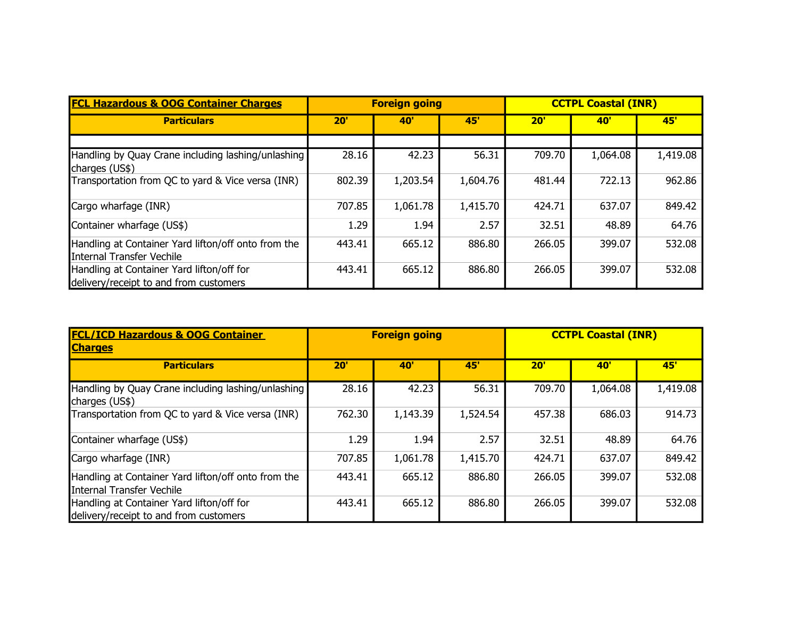| <b>FCL Hazardous &amp; OOG Container Charges</b>                                    | <b>Foreign going</b> |          |          | <b>CCTPL Coastal (INR)</b> |            |          |
|-------------------------------------------------------------------------------------|----------------------|----------|----------|----------------------------|------------|----------|
| <b>Particulars</b>                                                                  | 20'                  | 40'      | 45'      | 20'                        | <b>40'</b> | 45'      |
|                                                                                     |                      |          |          |                            |            |          |
| Handling by Quay Crane including lashing/unlashing<br>charges (US\$)                | 28.16                | 42.23    | 56.31    | 709.70                     | 1,064.08   | 1,419.08 |
| Transportation from QC to yard & Vice versa (INR)                                   | 802.39               | 1,203.54 | 1,604.76 | 481.44                     | 722.13     | 962.86   |
| Cargo wharfage (INR)                                                                | 707.85               | 1,061.78 | 1,415.70 | 424.71                     | 637.07     | 849.42   |
| Container wharfage (US\$)                                                           | 1.29                 | 1.94     | 2.57     | 32.51                      | 48.89      | 64.76    |
| Handling at Container Yard lifton/off onto from the<br>Internal Transfer Vechile    | 443.41               | 665.12   | 886.80   | 266.05                     | 399.07     | 532.08   |
| Handling at Container Yard lifton/off for<br>delivery/receipt to and from customers | 443.41               | 665.12   | 886.80   | 266.05                     | 399.07     | 532.08   |

| <b>FCL/ICD Hazardous &amp; OOG Container</b><br><b>Charges</b>                      | <b>CCTPL Coastal (INR)</b><br><b>Foreign going</b> |            |          |              |            |          |
|-------------------------------------------------------------------------------------|----------------------------------------------------|------------|----------|--------------|------------|----------|
| <b>Particulars</b>                                                                  | $20^{\circ}$                                       | <b>40'</b> | 45'      | $20^{\circ}$ | <b>40'</b> | 45'      |
| Handling by Quay Crane including lashing/unlashing<br>charges (US\$)                | 28.16                                              | 42.23      | 56.31    | 709.70       | 1,064.08   | 1,419.08 |
| Transportation from QC to yard & Vice versa (INR)                                   | 762.30                                             | 1,143.39   | 1,524.54 | 457.38       | 686.03     | 914.73   |
| Container wharfage (US\$)                                                           | 1.29                                               | 1.94       | 2.57     | 32.51        | 48.89      | 64.76    |
| Cargo wharfage (INR)                                                                | 707.85                                             | 1,061.78   | 1,415.70 | 424.71       | 637.07     | 849.42   |
| Handling at Container Yard lifton/off onto from the<br>Internal Transfer Vechile    | 443.41                                             | 665.12     | 886.80   | 266.05       | 399.07     | 532.08   |
| Handling at Container Yard lifton/off for<br>delivery/receipt to and from customers | 443.41                                             | 665.12     | 886.80   | 266.05       | 399.07     | 532.08   |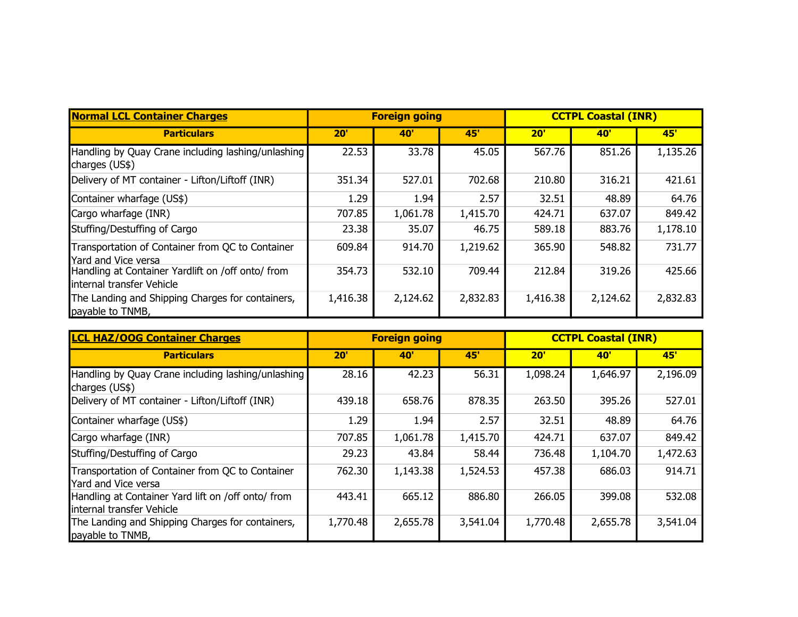| <b>Normal LCL Container Charges</b>                                            | <b>Foreign going</b> |            |            | <b>CCTPL Coastal (INR)</b> |            |            |
|--------------------------------------------------------------------------------|----------------------|------------|------------|----------------------------|------------|------------|
| <b>Particulars</b>                                                             | $20^{\circ}$         | <b>40'</b> | <b>45'</b> | 20'                        | <b>40'</b> | <b>45'</b> |
| Handling by Quay Crane including lashing/unlashing<br>charges (US\$)           | 22.53                | 33.78      | 45.05      | 567.76                     | 851.26     | 1,135.26   |
| Delivery of MT container - Lifton/Liftoff (INR)                                | 351.34               | 527.01     | 702.68     | 210.80                     | 316.21     | 421.61     |
| Container wharfage (US\$)                                                      | 1.29                 | 1.94       | 2.57       | 32.51                      | 48.89      | 64.76      |
| Cargo wharfage (INR)                                                           | 707.85               | 1,061.78   | 1,415.70   | 424.71                     | 637.07     | 849.42     |
| Stuffing/Destuffing of Cargo                                                   | 23.38                | 35.07      | 46.75      | 589.18                     | 883.76     | 1,178.10   |
| Transportation of Container from QC to Container<br>Yard and Vice versa        | 609.84               | 914.70     | 1,219.62   | 365.90                     | 548.82     | 731.77     |
| Handling at Container Yardlift on /off onto/ from<br>Internal transfer Vehicle | 354.73               | 532.10     | 709.44     | 212.84                     | 319.26     | 425.66     |
| The Landing and Shipping Charges for containers,<br>payable to TNMB,           | 1,416.38             | 2,124.62   | 2,832.83   | 1,416.38                   | 2,124.62   | 2,832.83   |

| <b>LCL HAZ/OOG Container Charges</b>                                            | <b>Foreign going</b> |            |            | <b>CCTPL Coastal (INR)</b> |              |          |
|---------------------------------------------------------------------------------|----------------------|------------|------------|----------------------------|--------------|----------|
| <b>Particulars</b>                                                              | 20'                  | <b>40'</b> | <b>45'</b> | 20'                        | $40^{\circ}$ | 45'      |
| Handling by Quay Crane including lashing/unlashing<br>charges (US\$)            | 28.16                | 42.23      | 56.31      | 1,098.24                   | 1,646.97     | 2,196.09 |
| Delivery of MT container - Lifton/Liftoff (INR)                                 | 439.18               | 658.76     | 878.35     | 263.50                     | 395.26       | 527.01   |
| Container wharfage (US\$)                                                       | 1.29                 | 1.94       | 2.57       | 32.51                      | 48.89        | 64.76    |
| Cargo wharfage (INR)                                                            | 707.85               | 1,061.78   | 1,415.70   | 424.71                     | 637.07       | 849.42   |
| Stuffing/Destuffing of Cargo                                                    | 29.23                | 43.84      | 58.44      | 736.48                     | 1,104.70     | 1,472.63 |
| Transportation of Container from QC to Container<br>Yard and Vice versa         | 762.30               | 1,143.38   | 1,524.53   | 457.38                     | 686.03       | 914.71   |
| Handling at Container Yard lift on /off onto/ from<br>internal transfer Vehicle | 443.41               | 665.12     | 886.80     | 266.05                     | 399.08       | 532.08   |
| The Landing and Shipping Charges for containers,<br>payable to TNMB,            | 1,770.48             | 2,655.78   | 3,541.04   | 1,770.48                   | 2,655.78     | 3,541.04 |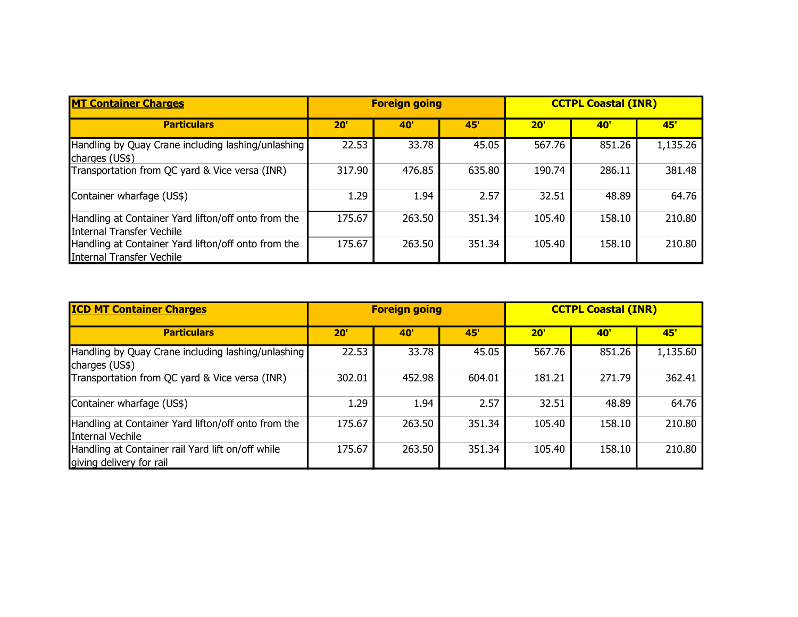| <b>MT Container Charges</b>                                                      | <b>Foreign going</b> |            |        | <b>CCTPL Coastal (INR)</b> |        |          |
|----------------------------------------------------------------------------------|----------------------|------------|--------|----------------------------|--------|----------|
| <b>Particulars</b>                                                               | 20'                  | <b>407</b> | 45'    | 20'                        | 40'    | 45'      |
| Handling by Quay Crane including lashing/unlashing<br>charges (US\$)             | 22.53                | 33.78      | 45.05  | 567.76                     | 851.26 | 1,135.26 |
| Transportation from QC yard & Vice versa (INR)                                   | 317.90               | 476.85     | 635.80 | 190.74                     | 286.11 | 381.48   |
| Container wharfage (US\$)                                                        | 1.29                 | 1.94       | 2.57   | 32.51                      | 48.89  | 64.76    |
| Handling at Container Yard lifton/off onto from the<br>Internal Transfer Vechile | 175.67               | 263.50     | 351.34 | 105.40                     | 158.10 | 210.80   |
| Handling at Container Yard lifton/off onto from the<br>Internal Transfer Vechile | 175.67               | 263.50     | 351.34 | 105.40                     | 158.10 | 210.80   |

| <b>ICD MT Container Charges</b>                                               | <b>Foreign going</b> |            |        | <b>CCTPL Coastal (INR)</b> |        |          |  |
|-------------------------------------------------------------------------------|----------------------|------------|--------|----------------------------|--------|----------|--|
| <b>Particulars</b>                                                            | 20'                  | <b>40'</b> | 45'    | 20'                        | 40'    | 45'      |  |
| Handling by Quay Crane including lashing/unlashing<br>charges (US\$)          | 22.53                | 33.78      | 45.05  | 567.76                     | 851.26 | 1,135.60 |  |
| Transportation from QC yard & Vice versa (INR)                                | 302.01               | 452.98     | 604.01 | 181.21                     | 271.79 | 362.41   |  |
| Container wharfage (US\$)                                                     | 1.29                 | 1.94       | 2.57   | 32.51                      | 48.89  | 64.76    |  |
| Handling at Container Yard lifton/off onto from the<br>Internal Vechile       | 175.67               | 263.50     | 351.34 | 105.40                     | 158.10 | 210.80   |  |
| Handling at Container rail Yard lift on/off while<br>giving delivery for rail | 175.67               | 263.50     | 351.34 | 105.40                     | 158.10 | 210.80   |  |